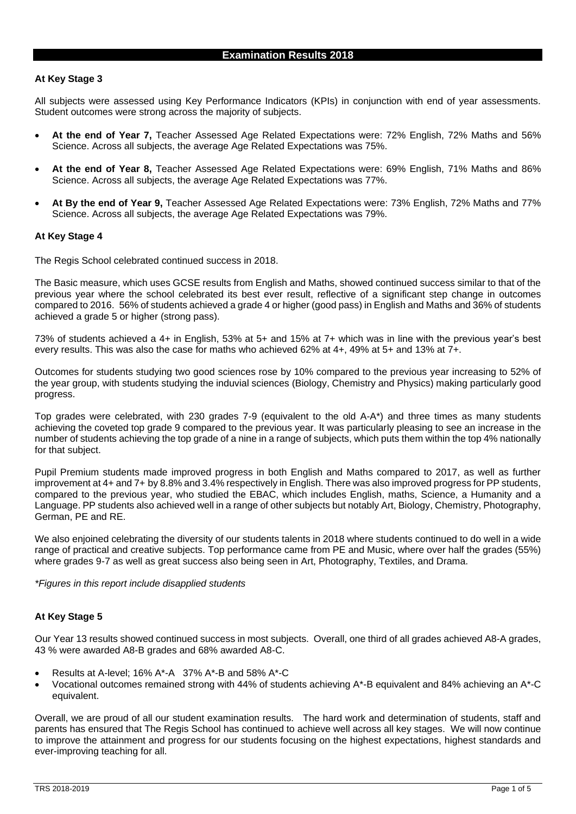#### **At Key Stage 3**

All subjects were assessed using Key Performance Indicators (KPIs) in conjunction with end of year assessments. Student outcomes were strong across the majority of subjects.

- **At the end of Year 7,** Teacher Assessed Age Related Expectations were: 72% English, 72% Maths and 56% Science. Across all subjects, the average Age Related Expectations was 75%.
- **At the end of Year 8,** Teacher Assessed Age Related Expectations were: 69% English, 71% Maths and 86% Science. Across all subjects, the average Age Related Expectations was 77%.
- **At By the end of Year 9,** Teacher Assessed Age Related Expectations were: 73% English, 72% Maths and 77% Science. Across all subjects, the average Age Related Expectations was 79%.

#### **At Key Stage 4**

The Regis School celebrated continued success in 2018.

The Basic measure, which uses GCSE results from English and Maths, showed continued success similar to that of the previous year where the school celebrated its best ever result, reflective of a significant step change in outcomes compared to 2016. 56% of students achieved a grade 4 or higher (good pass) in English and Maths and 36% of students achieved a grade 5 or higher (strong pass).

73% of students achieved a 4+ in English, 53% at 5+ and 15% at 7+ which was in line with the previous year's best every results. This was also the case for maths who achieved 62% at 4+, 49% at 5+ and 13% at 7+.

Outcomes for students studying two good sciences rose by 10% compared to the previous year increasing to 52% of the year group, with students studying the induvial sciences (Biology, Chemistry and Physics) making particularly good progress.

Top grades were celebrated, with 230 grades 7-9 (equivalent to the old A-A\*) and three times as many students achieving the coveted top grade 9 compared to the previous year. It was particularly pleasing to see an increase in the number of students achieving the top grade of a nine in a range of subjects, which puts them within the top 4% nationally for that subject.

Pupil Premium students made improved progress in both English and Maths compared to 2017, as well as further improvement at 4+ and 7+ by 8.8% and 3.4% respectively in English. There was also improved progress for PP students, compared to the previous year, who studied the EBAC, which includes English, maths, Science, a Humanity and a Language. PP students also achieved well in a range of other subjects but notably Art, Biology, Chemistry, Photography, German, PE and RE.

We also enjoined celebrating the diversity of our students talents in 2018 where students continued to do well in a wide range of practical and creative subjects. Top performance came from PE and Music, where over half the grades (55%) where grades 9-7 as well as great success also being seen in Art, Photography, Textiles, and Drama.

*\*Figures in this report include disapplied students*

#### **At Key Stage 5**

Our Year 13 results showed continued success in most subjects. Overall, one third of all grades achieved A8-A grades, 43 % were awarded A8-B grades and 68% awarded A8-C.

- Results at A-level; 16% A\*-A 37% A\*-B and 58% A\*-C
- Vocational outcomes remained strong with 44% of students achieving A\*-B equivalent and 84% achieving an A\*-C equivalent.

Overall, we are proud of all our student examination results. The hard work and determination of students, staff and parents has ensured that The Regis School has continued to achieve well across all key stages. We will now continue to improve the attainment and progress for our students focusing on the highest expectations, highest standards and ever-improving teaching for all.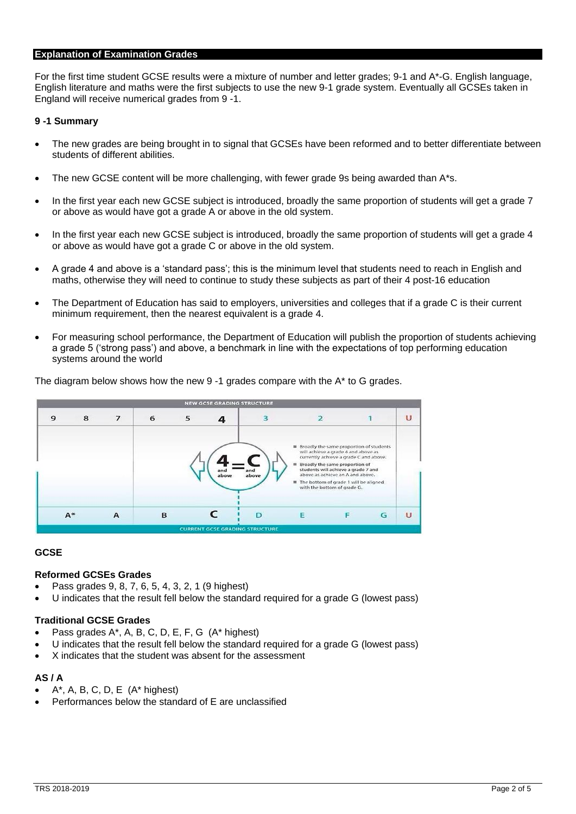## **Explanation of Examination Grades**

For the first time student GCSE results were a mixture of number and letter grades; 9-1 and A\*-G. English language, English literature and maths were the first subjects to use the new 9-1 grade system. Eventually all GCSEs taken in England will receive numerical grades from 9 -1.

## **9 -1 Summary**

- The new grades are being brought in to signal that GCSEs have been reformed and to better differentiate between students of different abilities.
- The new GCSE content will be more challenging, with fewer grade 9s being awarded than A\*s.
- In the first year each new GCSE subject is introduced, broadly the same proportion of students will get a grade 7 or above as would have got a grade A or above in the old system.
- In the first year each new GCSE subject is introduced, broadly the same proportion of students will get a grade 4 or above as would have got a grade C or above in the old system.
- A grade 4 and above is a 'standard pass'; this is the minimum level that students need to reach in English and maths, otherwise they will need to continue to study these subjects as part of their 4 post-16 education
- The Department of Education has said to employers, universities and colleges that if a grade C is their current minimum requirement, then the nearest equivalent is a grade 4.
- For measuring school performance, the Department of Education will publish the proportion of students achieving a grade 5 ('strong pass') and above, a benchmark in line with the expectations of top performing education systems around the world



The diagram below shows how the new  $9 - 1$  grades compare with the  $A^*$  to G grades.

## **GCSE**

## **Reformed GCSEs Grades**

- Pass grades 9, 8, 7, 6, 5, 4, 3, 2, 1 (9 highest)
- U indicates that the result fell below the standard required for a grade G (lowest pass)

## **Traditional GCSE Grades**

- Pass grades A\*, A, B, C, D, E, F, G (A\* highest)
- U indicates that the result fell below the standard required for a grade G (lowest pass)
- X indicates that the student was absent for the assessment

# **AS / A**

- A\*, A, B, C, D, E (A\* highest)
- Performances below the standard of E are unclassified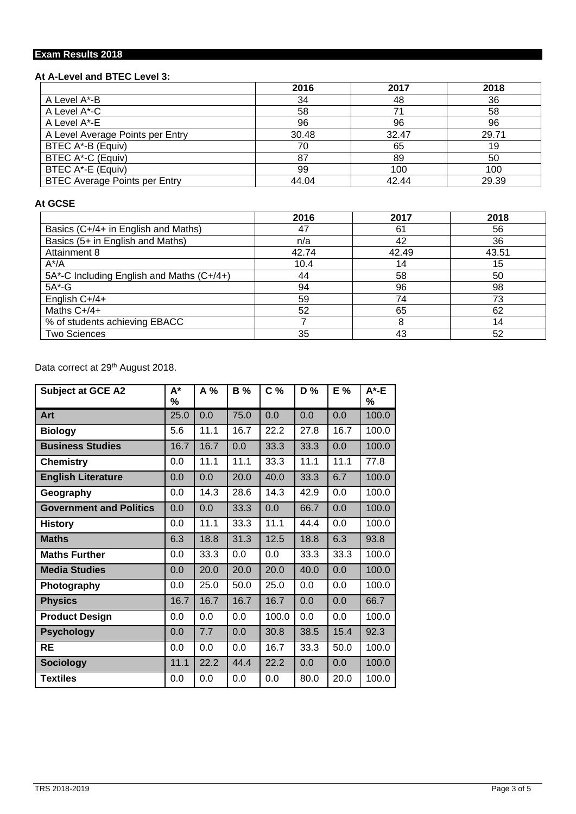# **Exam Results 2018**

# **At A-Level and BTEC Level 3:**

|                                      | 2016  | 2017  | 2018  |
|--------------------------------------|-------|-------|-------|
| A Level A*-B                         | 34    | 48    | 36    |
| A Level A*-C                         | 58    | 71    | 58    |
| A Level A*-E                         | 96    | 96    | 96    |
| A Level Average Points per Entry     | 30.48 | 32.47 | 29.71 |
| BTEC A*-B (Equiv)                    | 70    | 65    | 19    |
| BTEC A*-C (Equiv)                    | 87    | 89    | 50    |
| BTEC A*-E (Equiv)                    | 99    | 100   | 100   |
| <b>BTEC Average Points per Entry</b> | 44.04 | 42.44 | 29.39 |

## **At GCSE**

|                                           | 2016  | 2017  | 2018  |
|-------------------------------------------|-------|-------|-------|
| Basics (C+/4+ in English and Maths)       | 47    | 61    | 56    |
| Basics (5+ in English and Maths)          | n/a   | 42    | 36    |
| Attainment 8                              | 42.74 | 42.49 | 43.51 |
| $A^*/A$                                   | 10.4  | 14    | 15    |
| 5A*-C Including English and Maths (C+/4+) | 44    | 58    | 50    |
| $5A*-G$                                   | 94    | 96    | 98    |
| English C+/4+                             | 59    | 74    | 73    |
| Maths C+/4+                               | 52    | 65    | 62    |
| % of students achieving EBACC             |       |       | 14    |
| <b>Two Sciences</b>                       | 35    | 43    | 52    |

Data correct at 29<sup>th</sup> August 2018.

| <b>Subject at GCE A2</b>       | $\overline{A^*}$<br>% | $A\%$ | <b>B</b> % | C <sub>%</sub> | $D\%$ | E%   | $A^*$ -E<br>% |
|--------------------------------|-----------------------|-------|------------|----------------|-------|------|---------------|
| Art                            | 25.0                  | 0.0   | 75.0       | 0.0            | 0.0   | 0.0  | 100.0         |
| <b>Biology</b>                 | 5.6                   | 11.1  | 16.7       | 22.2           | 27.8  | 16.7 | 100.0         |
| <b>Business Studies</b>        | 16.7                  | 16.7  | 0.0        | 33.3           | 33.3  | 0.0  | 100.0         |
| <b>Chemistry</b>               | 0.0                   | 11.1  | 11.1       | 33.3           | 11.1  | 11.1 | 77.8          |
| <b>English Literature</b>      | 0.0                   | 0.0   | 20.0       | 40.0           | 33.3  | 6.7  | 100.0         |
| Geography                      | 0.0                   | 14.3  | 28.6       | 14.3           | 42.9  | 0.0  | 100.0         |
| <b>Government and Politics</b> | 0.0                   | 0.0   | 33.3       | 0.0            | 66.7  | 0.0  | 100.0         |
| <b>History</b>                 | 0.0                   | 11.1  | 33.3       | 11.1           | 44.4  | 0.0  | 100.0         |
| <b>Maths</b>                   | 6.3                   | 18.8  | 31.3       | 12.5           | 18.8  | 6.3  | 93.8          |
| <b>Maths Further</b>           | 0.0                   | 33.3  | 0.0        | 0.0            | 33.3  | 33.3 | 100.0         |
| <b>Media Studies</b>           | 0.0                   | 20.0  | 20.0       | 20.0           | 40.0  | 0.0  | 100.0         |
| Photography                    | 0.0                   | 25.0  | 50.0       | 25.0           | 0.0   | 0.0  | 100.0         |
| <b>Physics</b>                 | 16.7                  | 16.7  | 16.7       | 16.7           | 0.0   | 0.0  | 66.7          |
| <b>Product Design</b>          | 0.0                   | 0.0   | 0.0        | 100.0          | 0.0   | 0.0  | 100.0         |
| <b>Psychology</b>              | 0.0                   | 7.7   | 0.0        | 30.8           | 38.5  | 15.4 | 92.3          |
| <b>RE</b>                      | 0.0                   | 0.0   | 0.0        | 16.7           | 33.3  | 50.0 | 100.0         |
| <b>Sociology</b>               | 11.1                  | 22.2  | 44.4       | 22.2           | 0.0   | 0.0  | 100.0         |
| <b>Textiles</b>                | 0.0                   | 0.0   | 0.0        | 0.0            | 80.0  | 20.0 | 100.0         |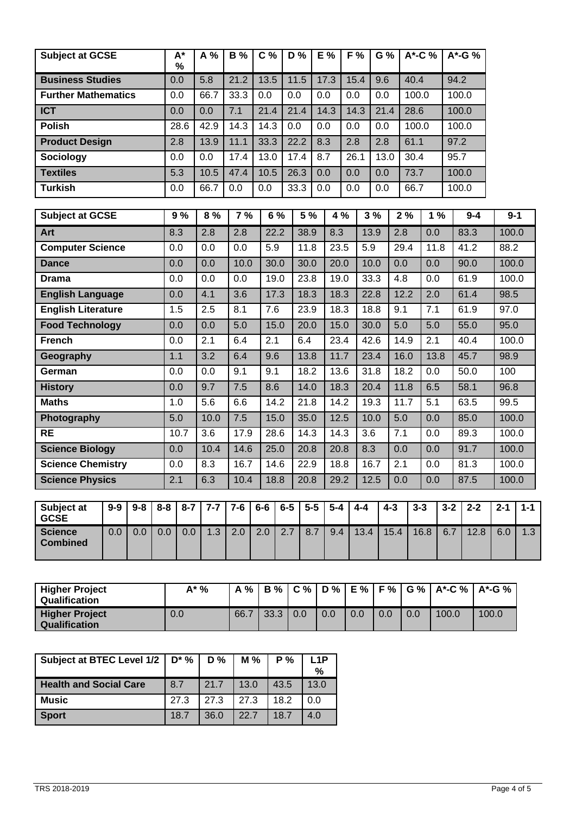| <b>Subject at GCSE</b>            |       |         |         | $A^*$<br>$\frac{9}{6}$ | A %     | <b>B</b> % | C <sub>0</sub> |       | D %   | E %  |       | F%                | G%      |             | A*-C %  |      |         | $A^*$ -G % |         |         |
|-----------------------------------|-------|---------|---------|------------------------|---------|------------|----------------|-------|-------|------|-------|-------------------|---------|-------------|---------|------|---------|------------|---------|---------|
| <b>Business Studies</b>           |       |         |         | 0.0                    | 5.8     | 21.2       | 13.5           |       | 11.5  | 17.3 |       | 15.4              | 9.6     |             | 40.4    |      | 94.2    |            |         |         |
| <b>Further Mathematics</b>        |       |         |         | 0.0                    | 66.7    | 33.3       | 0.0            |       | 0.0   | 0.0  |       | 0.0               | 0.0     |             | 100.0   |      | 100.0   |            |         |         |
| <b>ICT</b>                        |       |         |         | 0.0                    | 0.0     | 7.1        | 21.4           |       | 21.4  | 14.3 |       | 14.3              | 21.4    |             | 28.6    |      | 100.0   |            |         |         |
| <b>Polish</b>                     |       |         |         | 28.6                   | 42.9    | 14.3       | 14.3           |       | 0.0   | 0.0  |       | 0.0               | 0.0     |             | 100.0   |      | 100.0   |            |         |         |
| <b>Product Design</b>             |       |         |         | 2.8                    | 13.9    | 11.1       | 33.3           |       | 22.2  | 8.3  |       | 2.8               | 2.8     |             | 61.1    |      | 97.2    |            |         |         |
| Sociology                         |       |         |         | 0.0                    | 0.0     | 17.4       | 13.0           |       | 17.4  | 8.7  |       | $\overline{26.1}$ | 13.0    |             | 30.4    |      | 95.7    |            |         |         |
| <b>Textiles</b>                   |       |         |         | 5.3                    | 10.5    | 47.4       | 10.5           |       | 26.3  | 0.0  |       | 0.0               | 0.0     |             | 73.7    |      | 100.0   |            |         |         |
| <b>Turkish</b>                    |       |         |         | 0.0                    | 66.7    | 0.0        | 0.0            |       | 33.3  | 0.0  |       | 0.0               | 0.0     |             | 66.7    |      | 100.0   |            |         |         |
| <b>Subject at GCSE</b>            |       |         |         | 9%                     | 8 %     | 7%         |                | 6 %   | 5 %   |      | 4 %   | 3%                |         | $2\sqrt{6}$ |         | 1%   |         | $9 - 4$    | $9 - 1$ |         |
| Art                               |       |         |         | 8.3                    | 2.8     | 2.8        |                | 22.2  | 38.9  |      | 8.3   | 13.9              |         | 2.8         |         | 0.0  |         | 83.3       | 100.0   |         |
| <b>Computer Science</b>           |       |         |         | 0.0                    | 0.0     | 0.0        | 5.9            |       | 11.8  |      | 23.5  | 5.9               |         | 29.4        |         | 11.8 |         | 41.2       | 88.2    |         |
| <b>Dance</b>                      |       |         |         | 0.0                    | 0.0     | 10.0       |                | 30.0  | 30.0  |      | 20.0  | 10.0              |         | 0.0         |         | 0.0  |         | 90.0       | 100.0   |         |
| <b>Drama</b>                      |       |         |         | 0.0                    | 0.0     | 0.0        |                | 19.0  | 23.8  |      | 19.0  | 33.3              |         | 4.8         |         | 0.0  |         | 61.9       | 100.0   |         |
| <b>English Language</b>           |       |         |         | 0.0                    | 4.1     | 3.6        |                | 17.3  | 18.3  |      | 18.3  | 22.8              |         | 12.2        |         | 2.0  |         | 61.4       | 98.5    |         |
| <b>English Literature</b>         |       |         |         | 1.5                    | 2.5     | 8.1        | 7.6            |       | 23.9  |      | 18.3  | 18.8              |         | 9.1         |         | 7.1  |         | 61.9       | 97.0    |         |
| <b>Food Technology</b>            |       |         |         | 0.0                    | 0.0     | 5.0        |                | 15.0  | 20.0  |      | 15.0  | 30.0              |         | 5.0         |         | 5.0  |         | 55.0       | 95.0    |         |
| <b>French</b>                     |       |         |         | 0.0                    | 2.1     | 6.4        | 2.1            |       | 6.4   |      | 23.4  | 42.6              |         | 14.9        |         | 2.1  |         | 40.4       | 100.0   |         |
| Geography                         |       |         |         | 1.1                    | 3.2     | 6.4        | 9.6            |       | 13.8  |      | 11.7  | 23.4              |         | 16.0        |         | 13.8 |         | 45.7       | 98.9    |         |
| German                            |       |         |         | 0.0                    | 0.0     | 9.1        | 9.1            |       | 18.2  |      | 13.6  | 31.8              |         | 18.2        |         | 0.0  |         | 50.0       | 100     |         |
| <b>History</b>                    |       |         |         | 0.0                    | 9.7     | 7.5        | 8.6            |       | 14.0  |      | 18.3  | 20.4              |         | 11.8        |         | 6.5  |         | 58.1       | 96.8    |         |
| <b>Maths</b>                      |       |         |         | 1.0                    | 5.6     | 6.6        |                | 14.2  | 21.8  |      | 14.2  | 19.3              |         | 11.7        |         | 5.1  |         | 63.5       | 99.5    |         |
| Photography                       |       |         |         | 5.0                    | 10.0    | 7.5        |                | 15.0  | 35.0  |      | 12.5  | 10.0              |         | 5.0         |         | 0.0  |         | 85.0       | 100.0   |         |
| <b>RE</b>                         |       |         |         | 10.7                   | 3.6     | 17.9       |                | 28.6  | 14.3  |      | 14.3  | 3.6               |         | 7.1         |         | 0.0  |         | 89.3       | 100.0   |         |
| <b>Science Biology</b>            |       |         |         | 0.0                    | 10.4    | 14.6       |                | 25.0  | 20.8  |      | 20.8  | 8.3               |         | 0.0         |         | 0.0  |         | 91.7       | 100.0   |         |
| <b>Science Chemistry</b>          |       |         |         | 0.0                    | 8.3     | 16.7       |                | 14.6  | 22.9  |      | 18.8  | 16.7              |         | 2.1         |         | 0.0  |         | 81.3       | 100.0   |         |
| <b>Science Physics</b>            |       |         |         | 2.1                    | 6.3     | 10.4       |                | 18.8  | 20.8  |      | 29.2  | 12.5              |         | 0.0         |         | 0.0  |         | 87.5       | 100.0   |         |
| Subject at<br><b>GCSE</b>         | $9-9$ | $9 - 8$ | $8 - 8$ | $8 - 7$                | $7 - 7$ | $7-6$      | $6-6$          | $6-5$ | $5-5$ |      | $5-4$ | $4 - 4$           | $4 - 3$ |             | $3 - 3$ |      | $3 - 2$ | $2 - 2$    | $2 - 1$ | $1 - 1$ |
| <b>Science</b><br><b>Combined</b> | 0.0   | 0.0     | 0.0     | 0.0                    | 1.3     | 2.0        | 2.0            | 2.7   | 8.7   |      | 9.4   | 13.4              |         | 15.4        | 16.8    |      | 6.7     | 12.8       | 6.0     | 1.3     |

| Higher Project<br>Qualification               | A* % |      |      |     |     |     |     | A %   B %   C %   D %   E %   F %   G %   A *-C %   A *-G % |       |
|-----------------------------------------------|------|------|------|-----|-----|-----|-----|-------------------------------------------------------------|-------|
| <b>Higher Project</b><br><b>Qualification</b> | 0.0  | 66.7 | 33.3 | 0.0 | 0.0 | 0.0 | 0.0 | 100.0                                                       | 100.0 |

| Subject at BTEC Level 1/2   D <sup>*</sup> %   D % |      |      | M % I        | P %  | L <sub>1</sub> P<br>$\%$ |
|----------------------------------------------------|------|------|--------------|------|--------------------------|
| <b>Health and Social Care</b>                      | 8.7  | 21.7 | 13.0         | 43.5 | 13.0                     |
| <b>Music</b>                                       | 27.3 | 27.3 | 27.3         | 18.2 | 0.0                      |
| <b>Sport</b>                                       | 18.7 | 36.0 | $\vert$ 22.7 | 18.7 | 4.0                      |